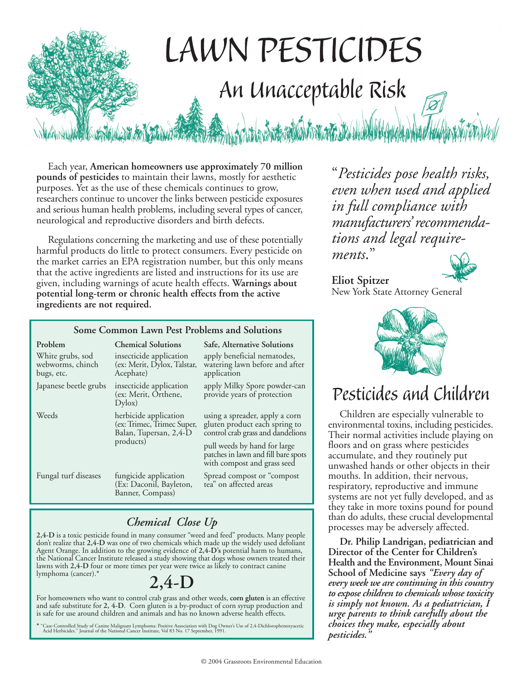

Each year, **American homeowners use approximately 70 million pounds of pesticides** to maintain their lawns, mostly for aesthetic purposes. Yet as the use of these chemicals continues to grow, researchers continue to uncover the links between pesticide exposures and serious human health problems, including several types of cancer, neurological and reproductive disorders and birth defects.

Regulations concerning the marketing and use of these potentially harmful products do little to protect consumers. Every pesticide on the market carries an EPA registration number, but this only means that the active ingredients are listed and instructions for its use are given, including warnings of acute health effects. **Warnings about potential long-term or chronic health effects from the active ingredients are not required.**

#### **Some Common Lawn Pest Problems and Solutions**

| Problem<br>White grubs, sod<br>webworms, chinch<br>bugs, etc. | <b>Chemical Solutions</b><br>insecticide application<br>(ex: Merit, Dylox, Talstar,<br>Acephate) | Safe, Alternative Solutions<br>apply beneficial nematodes,<br>watering lawn before and after<br>application |
|---------------------------------------------------------------|--------------------------------------------------------------------------------------------------|-------------------------------------------------------------------------------------------------------------|
| Japanese beetle grubs                                         | insecticide application<br>(ex: Merit, Orthene,<br>Dylox)                                        | apply Milky Spore powder-can<br>provide years of protection                                                 |
| Weeds                                                         | herbicide application<br>(ex: Trimec, Trimec Super,<br>Balan, Tupersan, 2,4-D<br>products)       | using a spreader, apply a corn<br>gluten product each spring to<br>control crab grass and dandelions        |
|                                                               |                                                                                                  | pull weeds by hand for large<br>patches in lawn and fill bare spots<br>with compost and grass seed          |
| Fungal turf diseases                                          | fungicide application<br>(Ex: Daconil, Bayleton,<br>Banner, Compass)                             | Spread compost or "compost"<br>tea" on affected areas                                                       |

## *Chemical Close Up*

**2,4-D** is a toxic pesticide found in many consumer "weed and feed" products. Many people don't realize that **2,4-D** was one of two chemicals which made up the widely used defoliant Agent Orange. In addition to the growing evidence of **2,4-D's** potential harm to humans, the National Cancer Institute released a study showing that dogs whose owners treated their lawns with **2,4-D** four or more times per year were twice as likely to contract canine lymphoma (cancer).\*

## **2,4-D**

For homeowners who want to control crab grass and other weeds, **corn gluten** is an effective and safe substitute for **2, 4-D**. Corn gluten is a by-product of corn syrup production and is safe for use around children and animals and has no known adverse health effects.

\* "Case-Controlled Study of Canine Malignant Lymphoma: Positive Association with Dog Owner's Use of 2,4-Dichlorophenoxyacetic Acid Herbicides." Journal of the National Cancer Institute, Vol 83 No. 17 September, 1991.

"*Pesticides pose health risks, even when used and applied in full compliance with manufacturers' recommendations and legal requirements*."

**Eliot Spitzer** New York State Attorney General



## Pesticides and Children

Children are especially vulnerable to environmental toxins, including pesticides. Their normal activities include playing on floors and on grass where pesticides accumulate, and they routinely put unwashed hands or other objects in their mouths. In addition, their nervous, respiratory, reproductive and immune systems are not yet fully developed, and as they take in more toxins pound for pound than do adults, these crucial developmental processes may be adversely affected.

**Dr. Philip Landrigan, pediatrician and Director of the Center for Children's Health and the Environment, Mount Sinai School of Medicine says** *"Every day of every week we are continuing in this country to expose children to chemicals whose toxicity is simply not known. As a pediatrician, I urge parents to think carefully about the choices they make, especially about pesticides."*